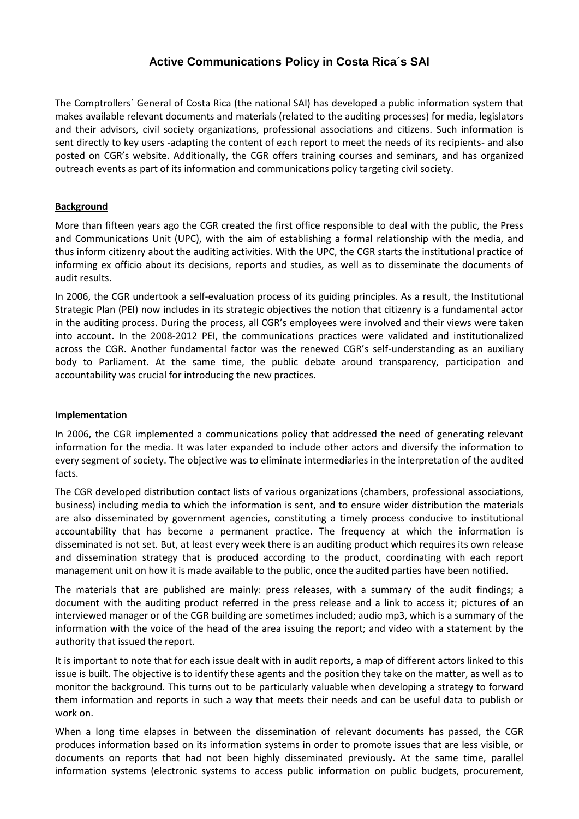# **Active Communications Policy in Costa Rica´s SAI**

The Comptrollers´ General of Costa Rica (the national SAI) has developed a public information system that makes available relevant documents and materials (related to the auditing processes) for media, legislators and their advisors, civil society organizations, professional associations and citizens. Such information is sent directly to key users -adapting the content of each report to meet the needs of its recipients- and also posted on CGR's website. Additionally, the CGR offers training courses and seminars, and has organized outreach events as part of its information and communications policy targeting civil society.

## **Background**

More than fifteen years ago the CGR created the first office responsible to deal with the public, the Press and Communications Unit (UPC), with the aim of establishing a formal relationship with the media, and thus inform citizenry about the auditing activities. With the UPC, the CGR starts the institutional practice of informing ex officio about its decisions, reports and studies, as well as to disseminate the documents of audit results.

In 2006, the CGR undertook a self-evaluation process of its guiding principles. As a result, the Institutional Strategic Plan (PEI) now includes in its strategic objectives the notion that citizenry is a fundamental actor in the auditing process. During the process, all CGR's employees were involved and their views were taken into account. In the 2008-2012 PEI, the communications practices were validated and institutionalized across the CGR. Another fundamental factor was the renewed CGR's self-understanding as an auxiliary body to Parliament. At the same time, the public debate around transparency, participation and accountability was crucial for introducing the new practices.

## **Implementation**

In 2006, the CGR implemented a communications policy that addressed the need of generating relevant information for the media. It was later expanded to include other actors and diversify the information to every segment of society. The objective was to eliminate intermediaries in the interpretation of the audited facts.

The CGR developed distribution contact lists of various organizations (chambers, professional associations, business) including media to which the information is sent, and to ensure wider distribution the materials are also disseminated by government agencies, constituting a timely process conducive to institutional accountability that has become a permanent practice. The frequency at which the information is disseminated is not set. But, at least every week there is an auditing product which requires its own release and dissemination strategy that is produced according to the product, coordinating with each report management unit on how it is made available to the public, once the audited parties have been notified.

The materials that are published are mainly: press releases, with a summary of the audit findings; a document with the auditing product referred in the press release and a link to access it; pictures of an interviewed manager or of the CGR building are sometimes included; audio mp3, which is a summary of the information with the voice of the head of the area issuing the report; and video with a statement by the authority that issued the report.

It is important to note that for each issue dealt with in audit reports, a map of different actors linked to this issue is built. The objective is to identify these agents and the position they take on the matter, as well as to monitor the background. This turns out to be particularly valuable when developing a strategy to forward them information and reports in such a way that meets their needs and can be useful data to publish or work on.

When a long time elapses in between the dissemination of relevant documents has passed, the CGR produces information based on its information systems in order to promote issues that are less visible, or documents on reports that had not been highly disseminated previously. At the same time, parallel information systems (electronic systems to access public information on public budgets, procurement,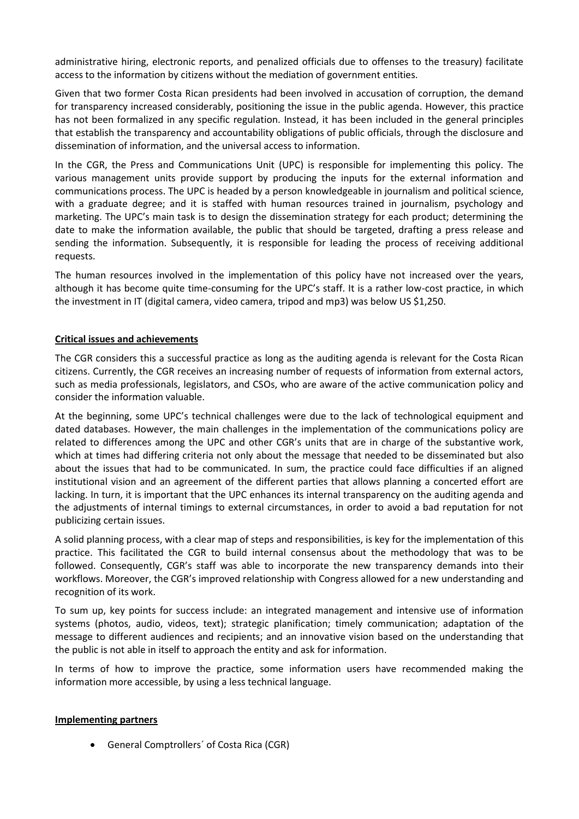administrative hiring, electronic reports, and penalized officials due to offenses to the treasury) facilitate access to the information by citizens without the mediation of government entities.

Given that two former Costa Rican presidents had been involved in accusation of corruption, the demand for transparency increased considerably, positioning the issue in the public agenda. However, this practice has not been formalized in any specific regulation. Instead, it has been included in the general principles that establish the transparency and accountability obligations of public officials, through the disclosure and dissemination of information, and the universal access to information.

In the CGR, the Press and Communications Unit (UPC) is responsible for implementing this policy. The various management units provide support by producing the inputs for the external information and communications process. The UPC is headed by a person knowledgeable in journalism and political science, with a graduate degree; and it is staffed with human resources trained in journalism, psychology and marketing. The UPC's main task is to design the dissemination strategy for each product; determining the date to make the information available, the public that should be targeted, drafting a press release and sending the information. Subsequently, it is responsible for leading the process of receiving additional requests.

The human resources involved in the implementation of this policy have not increased over the years, although it has become quite time-consuming for the UPC's staff. It is a rather low-cost practice, in which the investment in IT (digital camera, video camera, tripod and mp3) was below US \$1,250.

### **Critical issues and achievements**

The CGR considers this a successful practice as long as the auditing agenda is relevant for the Costa Rican citizens. Currently, the CGR receives an increasing number of requests of information from external actors, such as media professionals, legislators, and CSOs, who are aware of the active communication policy and consider the information valuable.

At the beginning, some UPC's technical challenges were due to the lack of technological equipment and dated databases. However, the main challenges in the implementation of the communications policy are related to differences among the UPC and other CGR's units that are in charge of the substantive work, which at times had differing criteria not only about the message that needed to be disseminated but also about the issues that had to be communicated. In sum, the practice could face difficulties if an aligned institutional vision and an agreement of the different parties that allows planning a concerted effort are lacking. In turn, it is important that the UPC enhances its internal transparency on the auditing agenda and the adjustments of internal timings to external circumstances, in order to avoid a bad reputation for not publicizing certain issues.

A solid planning process, with a clear map of steps and responsibilities, is key for the implementation of this practice. This facilitated the CGR to build internal consensus about the methodology that was to be followed. Consequently, CGR's staff was able to incorporate the new transparency demands into their workflows. Moreover, the CGR's improved relationship with Congress allowed for a new understanding and recognition of its work.

To sum up, key points for success include: an integrated management and intensive use of information systems (photos, audio, videos, text); strategic planification; timely communication; adaptation of the message to different audiences and recipients; and an innovative vision based on the understanding that the public is not able in itself to approach the entity and ask for information.

In terms of how to improve the practice, some information users have recommended making the information more accessible, by using a less technical language.

#### **Implementing partners**

General Comptrollers´ of Costa Rica (CGR)